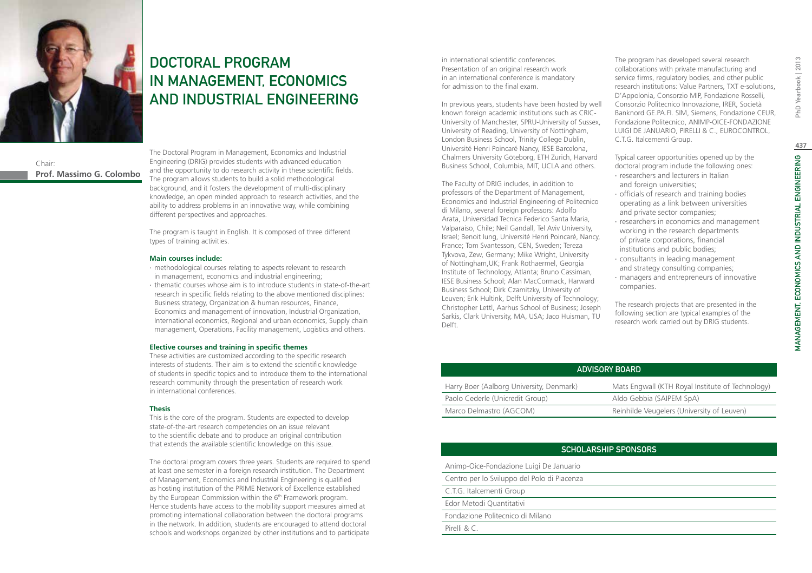

#### Chair: **Prof. Massimo G. Colombo**

DOCTORAL PROGRAM IN MANAGEMENT, ECONOMICS AND INDUSTRIAL ENGINEERING

The Doctoral Program in Management, Economics and Industrial Engineering (DRIG) provides students with advanced education and the opportunity to do research activity in these scientific fields. The program allows students to build a solid methodological background, and it fosters the development of multi-disciplinary knowledge, an open minded approach to research activities, and the ability to address problems in an innovative way, while combining different perspectives and approaches.

The program is taught in English. It is composed of three different types of training activities.

#### **Main courses include:**

- ∙ methodological courses relating to aspects relevant to research in management, economics and industrial engineering;
- ∙ thematic courses whose aim is to introduce students in state-of-the-art research in specific fields relating to the above mentioned disciplines: Business strategy, Organization & human resources, Finance, Economics and management of innovation, Industrial Organization, International economics, Regional and urban economics, Supply chain management, Operations, Facility management, Logistics and others.

#### **Elective courses and training in specific themes**

These activities are customized according to the specific research interests of students. Their aim is to extend the scientific knowledge of students in specific topics and to introduce them to the international research community through the presentation of research work in international conferences.

#### **Thesis**

This is the core of the program. Students are expected to develop state-of-the-art research competencies on an issue relevant to the scientific debate and to produce an original contribution that extends the available scientific knowledge on this issue.

The doctoral program covers three years. Students are required to spend at least one semester in a foreign research institution. The Department of Management, Economics and Industrial Engineering is qualified as hosting institution of the PRIME Network of Excellence established by the European Commission within the 6<sup>th</sup> Framework program. Hence students have access to the mobility support measures aimed at promoting international collaboration between the doctoral programs in the network. In addition, students are encouraged to attend doctoral schools and workshops organized by other institutions and to participate

in international scientific conferences. Presentation of an original research work in an international conference is mandatory for admission to the final exam.

In previous years, students have been hosted by well known foreign academic institutions such as CRIC-University of Manchester, SPRU-University of Sussex, University of Reading, University of Nottingham, London Business School, Trinity College Dublin, Université Henri Poincaré Nancy, IESE Barcelona, Chalmers University Göteborg, ETH Zurich, Harvard Business School, Columbia, MIT, UCLA and others.

The Faculty of DRIG includes, in addition to professors of the Department of Management, Economics and Industrial Engineering of Politecnico di Milano, several foreign professors: Adolfo Arata, Universidad Tecnica Federico Santa Maria, Valparaiso, Chile; Neil Gandall, Tel Aviv University, Israel; Benoit Iung, Université Henri Poincaré, Nancy, France; Tom Svantesson, CEN, Sweden; Tereza Tykvova, Zew, Germany; Mike Wright, University of Nottingham,UK; Frank Rothaermel, Georgia Institute of Technology, Atlanta; Bruno Cassiman, IESE Business School; Alan MacCormack, Harward Business School; Dirk Czamitzky, University of Leuven; Erik Hultink, Delft University of Technology; Christopher Lettl, Aarhus School of Business; Joseph Sarkis, Clark University, MA, USA; Jaco Huisman, TU Delft.

The program has developed several research collaborations with private manufacturing and service firms, regulatory bodies, and other public research institutions: Value Partners, TXT e-solutions, D'Appolonia, Consorzio MIP, Fondazione Rosselli, Consorzio Politecnico Innovazione, IRER, Società Banknord GE.PA.FI. SIM, Siemens, Fondazione CEUR, Fondazione Politecnico, ANIMP-OICE-FONDAZIONE LUIGI DE JANUARIO, PIRELLI & C., EUROCONTROL, C.T.G. Italcementi Group.

Typical career opportunities opened up by the doctoral program include the following ones:

- ∙ researchers and lecturers in Italian and foreign universities;
- ∙ officials of research and training bodies operating as a link between universities and private sector companies;
- ∙ researchers in economics and management working in the research departments of private corporations, financial institutions and public bodies;
- ∙ consultants in leading management and strategy consulting companies;
- ∙ managers and entrepreneurs of innovative companies.

The research projects that are presented in the following section are typical examples of the research work carried out by DRIG students.

| ADVISORY BOARD                           |                                                  |
|------------------------------------------|--------------------------------------------------|
| Harry Boer (Aalborg University, Denmark) | Mats Engwall (KTH Royal Institute of Technology) |
| Paolo Cederle (Unicredit Group)          | Aldo Gebbia (SAIPEM SpA)                         |
| Marco Delmastro (AGCOM)                  | Reinhilde Veugelers (University of Leuven)       |

### Scholarship Sponsors

Animp-Oice-Fondazione Luigi De Januario

Centro per lo Sviluppo del Polo di Piacenza

C.T.G. Italcementi Group

Edor Metodi Quantitativi

Fondazione Politecnico di Milano

Pirelli & C.

PhD Yearbook | 2013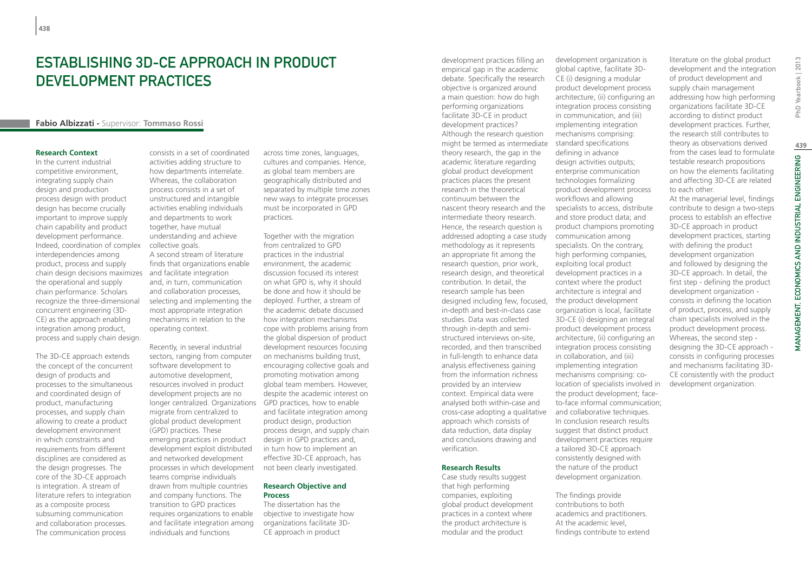# Establishing 3D-CE approach in product development practices

#### **Fabio Albizzati -** Supervisor: **Tommaso Rossi**

#### **Research Context**

In the current industrial competitive environment, integrating supply chain design and production process design with product design has become crucially important to improve supply chain capability and product development performance. Indeed, coordination of complex interdependencies among product, process and supply chain design decisions maximizes and facilitate integration the operational and supply chain performance. Scholars recognize the three-dimensional concurrent engineering (3D-CE) as the approach enabling integration among product, process and supply chain design.

The 3D-CE approach extends the concept of the concurrent design of products and processes to the simultaneous and coordinated design of product, manufacturing processes, and supply chain allowing to create a product development environment in which constraints and requirements from different disciplines are considered as the design progresses. The core of the 3D-CE approach is integration. A stream of literature refers to integration as a composite process subsuming communication and collaboration processes. The communication process

consists in a set of coordinated activities adding structure to how departments interrelate. Whereas, the collaboration process consists in a set of unstructured and intangible activities enabling individuals and departments to work together, have mutual understanding and achieve collective goals. A second stream of literature finds that organizations enable and, in turn, communication and collaboration processes, selecting and implementing the most appropriate integration mechanisms in relation to the operating context.

Recently, in several industrial sectors, ranging from computer software development to automotive development, resources involved in product development projects are no longer centralized. Organizations GPD practices, how to enable migrate from centralized to global product development (GPD) practices. These emerging practices in product development exploit distributed and networked development processes in which development teams comprise individuals drawn from multiple countries and company functions. The transition to GPD practices requires organizations to enable and facilitate integration among individuals and functions

across time zones, languages, cultures and companies. Hence, as global team members are geographically distributed and separated by multiple time zones new ways to integrate processes must be incorporated in GPD practices.

Together with the migration from centralized to GPD practices in the industrial environment, the academic discussion focused its interest on what GPD is, why it should be done and how it should be deployed. Further, a stream of the academic debate discussed how integration mechanisms cope with problems arising from the global dispersion of product development resources focusing on mechanisms building trust, encouraging collective goals and promoting motivation among global team members. However, despite the academic interest on and facilitate integration among product design, production process design, and supply chain design in GPD practices and, in turn how to implement an effective 3D-CE approach, has not been clearly investigated.

#### **Research Objective and Process**

The dissertation has the objective to investigate how organizations facilitate 3D-CE approach in product

development practices filling an empirical gap in the academic debate. Specifically the research objective is organized around a main question: how do high performing organizations facilitate 3D-CE in product development practices? Although the research question might be termed as intermediate theory research, the gap in the academic literature regarding global product development practices places the present research in the theoretical continuum between the nascent theory research and the intermediate theory research. Hence, the research question is addressed adopting a case study methodology as it represents an appropriate fit among the research question, prior work, research design, and theoretical contribution. In detail, the research sample has been designed including few, focused, the product development in-depth and best-in-class case studies. Data was collected through in-depth and semistructured interviews on-site, recorded, and then transcribed in full-length to enhance data analysis effectiveness gaining from the information richness provided by an interview context. Empirical data were analysed both within-case and cross-case adopting a qualitative approach which consists of data reduction, data display and conclusions drawing and verification.

#### **Research Results**

Case study results suggest that high performing companies, exploiting global product development practices in a context where the product architecture is modular and the product

development organization is global captive, facilitate 3D-CE (i) designing a modular product development process architecture, (ii) configuring an integration process consisting in communication, and (iii) implementing integration mechanisms comprising: standard specifications defining in advance design activities outputs; enterprise communication technologies formalizing product development process workflows and allowing specialists to access, distribute and store product data; and product champions promoting communication among specialists. On the contrary, high performing companies, exploiting local product development practices in a context where the product architecture is integral and organization is local, facilitate 3D-CE (i) designing an integral product development process architecture, (ii) configuring an integration process consisting in collaboration, and (iii) implementing integration mechanisms comprising: colocation of specialists involved in the product development; faceto-face informal communication; and collaborative techniques. In conclusion research results suggest that distinct product development practices require a tailored 3D-CE approach consistently designed with the nature of the product development organization.

The findings provide contributions to both academics and practitioners. At the academic level, findings contribute to extend literature on the global product development and the integration of product development and supply chain management addressing how high performing organizations facilitate 3D-CE according to distinct product development practices. Further, the research still contributes to theory as observations derived from the cases lead to formulate testable research propositions on how the elements facilitating and affecting 3D-CE are related to each other.

At the managerial level, findings contribute to design a two-steps process to establish an effective 3D-CE approach in product development practices, starting with defining the product development organization and followed by designing the 3D-CE approach. In detail, the first step - defining the product development organization consists in defining the location of product, process, and supply chain specialists involved in the product development process. Whereas, the second step designing the 3D-CE approach consists in configuring processes and mechanisms facilitating 3D-CE consistently with the product development organization.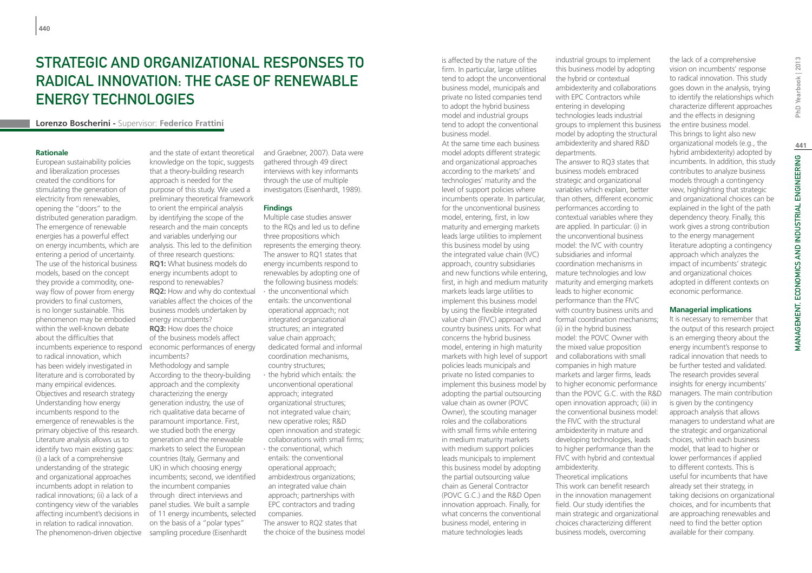# STRATEGIC AND ORGANIZATIONAL RESPONSES TO RADICAL INNOVATION: THE CASE OF RENEWABLE ENERGY TECHNOLOGIES

**Lorenzo Boscherini -** Supervisor: **Federico Frattini**

#### **Rationale**

European sustainability policies and liberalization processes created the conditions for stimulating the generation of electricity from renewables, opening the "doors" to the distributed generation paradigm. The emergence of renewable energies has a powerful effect on energy incumbents, which are entering a period of uncertainty. The use of the historical business models, based on the concept they provide a commodity, oneway flow of power from energy providers to final customers, is no longer sustainable. This phenomenon may be embodied within the well-known debate about the difficulties that incumbents experience to respond to radical innovation, which has been widely investigated in literature and is corroborated by many empirical evidences. Objectives and research strategy Understanding how energy incumbents respond to the emergence of renewables is the primary objective of this research. Literature analysis allows us to identify two main existing gaps: (i) a lack of a comprehensive understanding of the strategic and organizational approaches incumbents adopt in relation to radical innovations; (ii) a lack of a contingency view of the variables affecting incumbent's decisions in in relation to radical innovation. The phenomenon-driven objective

and the state of extant theoretical knowledge on the topic, suggests that a theory-building research approach is needed for the purpose of this study. We used a preliminary theoretical framework to orient the empirical analysis by identifying the scope of the research and the main concepts and variables underlying our analysis. This led to the definition of three research questions: **RQ1:** What business models do energy incumbents adopt to respond to renewables? **RQ2:** How and why do contextual variables affect the choices of the business models undertaken by energy incumbents? **RQ3:** How does the choice of the business models affect economic performances of energy incumbents? Methodology and sample According to the theory-building approach and the complexity characterizing the energy generation industry, the use of rich qualitative data became of paramount importance. First, we studied both the energy generation and the renewable markets to select the European countries (Italy, Germany and UK) in which choosing energy incumbents; second, we identified the incumbent companies through direct interviews and panel studies. We built a sample of 11 energy incumbents, selected on the basis of a "polar types" sampling procedure (Eisenhardt

and Graebner, 2007). Data were gathered through 49 direct interviews with key informants through the use of multiple investigators (Eisenhardt, 1989).

#### **Findings**

Multiple case studies answer to the RQs and led us to define three propositions which represents the emerging theory. The answer to RQ1 states that energy incumbents respond to renewables by adopting one of the following business models: ∙ the unconventional which entails: the unconventional operational approach; not integrated organizational structures; an integrated value chain approach; dedicated formal and informal coordination mechanisms, country structures; ∙ the hybrid which entails: the

- unconventional operational approach; integrated organizational structures; not integrated value chain; new operative roles; R&D open innovation and strategic collaborations with small firms;
- ∙ the conventional, which entails: the conventional operational approach; ambidextrous organizations; an integrated value chain approach; partnerships with EPC contractors and trading companies.

The answer to RQ2 states that the choice of the business model is affected by the nature of the firm. In particular, large utilities tend to adopt the unconventional business model, municipals and private no listed companies tend to adopt the hybrid business model and industrial groups tend to adopt the conventional business model.

At the same time each business model adopts different strategic and organizational approaches according to the markets' and technologies' maturity and the level of support policies where incumbents operate. In particular, for the unconventional business model, entering, first, in low maturity and emerging markets leads large utilities to implement this business model by using the integrated value chain (IVC) approach, country subsidiaries and new functions while entering, first, in high and medium maturity markets leads large utilities to implement this business model by using the flexible integrated value chain (FIVC) approach and country business units. For what concerns the hybrid business model, entering in high maturity markets with high level of support and collaborations with small policies leads municipals and private no listed companies to implement this business model by adopting the partial outsourcing value chain as owner (POVC Owner), the scouting manager roles and the collaborations with small firms while entering in medium maturity markets with medium support policies leads municipals to implement this business model by adopting the partial outsourcing value chain as General Contractor (POVC G.C.) and the R&D Open innovation approach. Finally, for what concerns the conventional business model, entering in mature technologies leads

industrial groups to implement this business model by adopting the hybrid or contextual ambidexterity and collaborations with EPC Contractors while entering in developing technologies leads industrial groups to implement this business model by adopting the structural ambidexterity and shared R&D departments. The answer to RQ3 states that business models embraced strategic and organizational variables which explain, better than others, different economic performances according to contextual variables where they are applied. In particular: (i) in the unconventional business model: the IVC with country subsidiaries and informal coordination mechanisms in mature technologies and low maturity and emerging markets leads to higher economic performance than the FIVC with country business units and formal coordination mechanisms; (ii) in the hybrid business model: the POVC Owner with the mixed value proposition companies in high mature markets and larger firms, leads to higher economic performance than the POVC G.C. with the R&D open innovation approach; (iii) in the conventional business model: the FIVC with the structural ambidexterity in mature and developing technologies, leads to higher performance than the FIVC with hybrid and contextual ambidexterity. Theoretical implications This work can benefit research

in the innovation management field. Our study identifies the main strategic and organizational choices characterizing different business models, overcoming

the lack of a comprehensive vision on incumbents' response to radical innovation. This study goes down in the analysis, trying to identify the relationships which characterize different approaches and the effects in designing the entire business model. This brings to light also new organizational models (e.g., the hybrid ambidexterity) adopted by incumbents. In addition, this study contributes to analyze business models through a contingency view, highlighting that strategic and organizational choices can be explained in the light of the path dependency theory. Finally, this work gives a strong contribution to the energy management literature adopting a contingency approach which analyzes the impact of incumbents' strategic and organizational choices adopted in different contexts on economic performance.

## **Managerial implications**

It is necessary to remember that the output of this research project is an emerging theory about the energy incumbent's response to radical innovation that needs to be further tested and validated. The research provides several insights for energy incumbents' managers. The main contribution is given by the contingency approach analysis that allows managers to understand what are the strategic and organizational choices, within each business model, that lead to higher or lower performances if applied to different contexts. This is useful for incumbents that have already set their strategy, in taking decisions on organizational choices, and for incumbents that are approaching renewables and need to find the better option available for their company.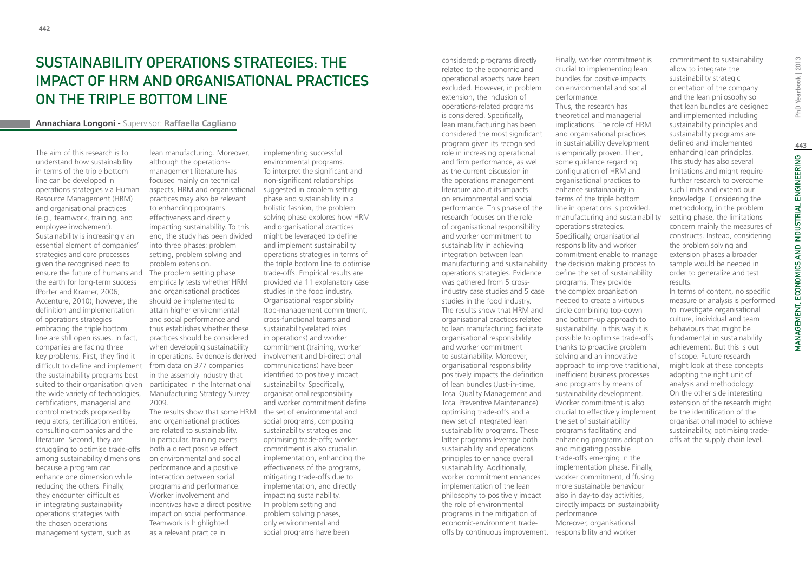# Sustainability Operations Strategies: the impact of HRM and organisational practices on the triple bottom line

#### **Annachiara Longoni -** Supervisor: **Raffaella Cagliano**

The aim of this research is to understand how sustainability in terms of the triple bottom line can be developed in operations strategies via Human Resource Management (HRM) and organisational practices (e.g., teamwork, training, and employee involvement). Sustainability is increasingly an essential element of companies' strategies and core processes given the recognised need to ensure the future of humans and the earth for long-term success (Porter and Kramer, 2006; Accenture, 2010); however, the definition and implementation of operations strategies embracing the triple bottom line are still open issues. In fact, companies are facing three key problems. First, they find it difficult to define and implement the sustainability programs best suited to their organisation given the wide variety of technologies, certifications, managerial and control methods proposed by regulators, certification entities, consulting companies and the literature. Second, they are struggling to optimise trade-offs among sustainability dimensions because a program can enhance one dimension while reducing the others. Finally, they encounter difficulties in integrating sustainability operations strategies with the chosen operations management system, such as

lean manufacturing. Moreover, although the operationsmanagement literature has focused mainly on technical aspects, HRM and organisational practices may also be relevant to enhancing programs effectiveness and directly impacting sustainability. To this end, the study has been divided into three phases: problem setting, problem solving and problem extension. The problem setting phase empirically tests whether HRM and organisational practices should be implemented to attain higher environmental and social performance and thus establishes whether these practices should be considered when developing sustainability in operations. Evidence is derived involvement and bi-directional from data on 377 companies in the assembly industry that participated in the International Manufacturing Strategy Survey 2009. The results show that some HRM and organisational practices are related to sustainability. In particular, training exerts both a direct positive effect

on environmental and social performance and a positive interaction between social programs and performance. Worker involvement and incentives have a direct positive impact on social performance. Teamwork is highlighted as a relevant practice in

implementing successful environmental programs. To interpret the significant and non-significant relationships suggested in problem setting phase and sustainability in a holistic fashion, the problem solving phase explores how HRM and organisational practices might be leveraged to define and implement sustainability operations strategies in terms of the triple bottom line to optimise trade-offs. Empirical results are provided via 11 explanatory case studies in the food industry. Organisational responsibility (top-management commitment, cross-functional teams and sustainability-related roles in operations) and worker commitment (training, worker communications) have been identified to positively impact sustainability. Specifically, organisational responsibility and worker commitment define the set of environmental and social programs, composing sustainability strategies and optimising trade-offs; worker commitment is also crucial in implementation, enhancing the effectiveness of the programs, mitigating trade-offs due to implementation, and directly impacting sustainability. In problem setting and problem solving phases, only environmental and social programs have been

considered; programs directly related to the economic and operational aspects have been excluded. However, in problem extension, the inclusion of operations-related programs is considered. Specifically, lean manufacturing has been considered the most significant program given its recognised role in increasing operational and firm performance, as well as the current discussion in the operations management literature about its impacts on environmental and social performance. This phase of the research focuses on the role of organisational responsibility and worker commitment to sustainability in achieving integration between lean manufacturing and sustainability operations strategies. Evidence was gathered from 5 crossindustry case studies and 5 case studies in the food industry. The results show that HRM and organisational practices related to lean manufacturing facilitate organisational responsibility and worker commitment to sustainability. Moreover, organisational responsibility positively impacts the definition of lean bundles (Just-in-time, Total Quality Management and Total Preventive Maintenance) optimising trade-offs and a new set of integrated lean sustainability programs. These latter programs leverage both sustainability and operations principles to enhance overall sustainability. Additionally, worker commitment enhances implementation of the lean philosophy to positively impact the role of environmental programs in the mitigation of economic-environment tradeoffs by continuous improvement.

Finally, worker commitment is crucial to implementing lean bundles for positive impacts on environmental and social performance. Thus, the research has theoretical and managerial implications. The role of HRM

and organisational practices in sustainability development is empirically proven. Then, some guidance regarding configuration of HRM and organisational practices to enhance sustainability in terms of the triple bottom line in operations is provided. manufacturing and sustainability operations strategies. Specifically, organisational responsibility and worker commitment enable to manage the decision making process to define the set of sustainability programs. They provide the complex organisation needed to create a virtuous circle combining top-down and bottom-up approach to sustainability. In this way it is possible to optimise trade-offs thanks to proactive problem solving and an innovative approach to improve traditional, inefficient business processes and programs by means of sustainability development. Worker commitment is also crucial to effectively implement the set of sustainability programs facilitating and enhancing programs adoption and mitigating possible trade-offs emerging in the implementation phase. Finally, worker commitment, diffusing more sustainable behaviour also in day-to day activities, directly impacts on sustainability performance. Moreover, organisational responsibility and worker

commitment to sustainability allow to integrate the sustainability strategic orientation of the company and the lean philosophy so that lean bundles are designed and implemented including sustainability principles and sustainability programs are defined and implemented enhancing lean principles. This study has also several limitations and might require further research to overcome such limits and extend our knowledge. Considering the methodology, in the problem setting phase, the limitations concern mainly the measures of constructs. Instead, considering the problem solving and extension phases a broader sample would be needed in order to generalize and test results.

In terms of content, no specific measure or analysis is performed to investigate organisational culture, individual and team behaviours that might be fundamental in sustainability achievement. But this is out of scope. Future research might look at these concepts adopting the right unit of analysis and methodology. On the other side interesting extension of the research might be the identification of the organisational model to achieve sustainability, optimising tradeoffs at the supply chain level.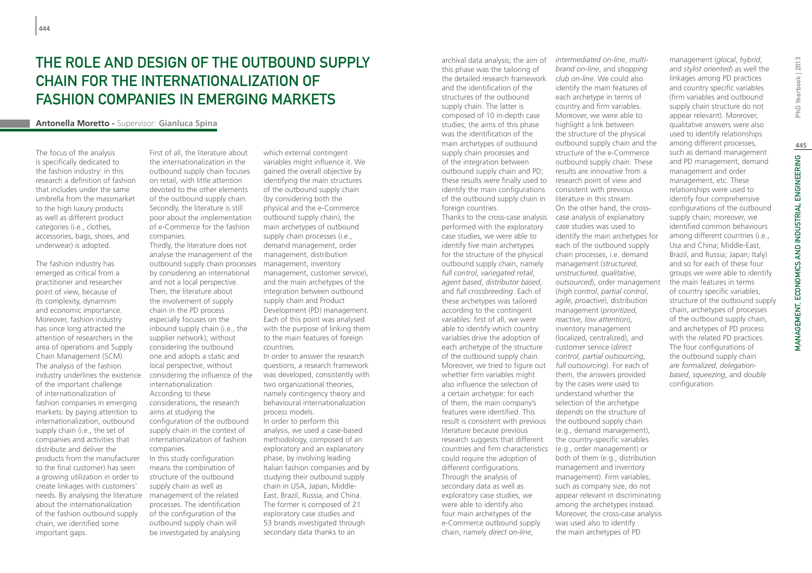# THE ROLE AND DESIGN OF THE OUTBOUND SUPPLY chain for the internationalization of fashion companies in emerging markets

#### **Antonella Moretto -** Supervisor: **Gianluca Spina**

The focus of the analysis is specifically dedicated to the fashion industry: in this research a definition of fashion that includes under the same umbrella from the massmarket to the high luxury products as well as different product categories (i.e., clothes, accessories, bags, shoes, and underwear) is adopted.

The fashion industry has emerged as critical from a practitioner and researcher point of view, because of its complexity, dynamism and economic importance. Moreover, fashion industry has since long attracted the attention of researchers in the area of operations and Supply Chain Management (SCM). The analysis of the fashion industry underlines the existence of the important challenge of internationalization of fashion companies in emerging markets: by paying attention to internationalization, outbound supply chain (i.e., the set of companies and activities that distribute and deliver the products from the manufacturer to the final customer) has seen a growing utilization in order to create linkages with customers' needs. By analysing the literature about the internationalization of the fashion outbound supply chain, we identified some important gaps.

First of all, the literature about the internationalization in the outbound supply chain focuses on retail, with little attention devoted to the other elements of the outbound supply chain. Secondly, the literature is still poor about the implementation of e-Commerce for the fashion companies.

Thirdly, the literature does not analyse the management of the outbound supply chain processes by considering an international and not a local perspective. Then, the literature about the involvement of supply chain in the PD process especially focuses on the inbound supply chain (i.e., the supplier network); without considering the outbound one and adopts a static and local perspective, without considering the influence of the internationalization. According to these considerations, the research aims at studying the configuration of the outbound supply chain in the context of internationalization of fashion companies. In this study configuration

means the combination of structure of the outbound supply chain as well as management of the related processes. The identification of the configuration of the outbound supply chain will be investigated by analysing

which external contingent variables might influence it. We gained the overall objective by identifying the main structures of the outbound supply chain (by considering both the physical and the e-Commerce outbound supply chain), the main archetypes of outbound supply chain processes (i.e., demand management, order management, distribution management, inventory management, customer service), and the main archetypes of the integration between outbound supply chain and Product Development (PD) management. Each of this point was analysed with the purpose of linking them to the main features of foreign countries.

In order to answer the research questions, a research framework was developed, consistently with two organizational theories, namely contingency theory and behavioural internationalization process models. In order to perform this analysis, we used a case-based

methodology, composed of an exploratory and an explanatory phase, by involving leading Italian fashion companies and by studying their outbound supply chain in USA, Japan, Middle-East, Brazil, Russia, and China. The former is composed of 21 exploratory case studies and 53 brands investigated through secondary data thanks to an

archival data analysis; the aim of this phase was the tailoring of the detailed research framework and the identification of the structures of the outbound supply chain. The latter is composed of 10 in-depth case studies; the aims of this phase was the identification of the main archetypes of outbound supply chain processes and of the integration between outbound supply chain and PD; these results were finally used to research point of view and identify the main configurations of the outbound supply chain in foreign countries.

Thanks to the cross-case analysis performed with the exploratory case studies, we were able to identify five main archetypes for the structure of the physical outbound supply chain, namely *full control*, *variegated retail*, *agent based*, *distributor based*, and *full crossbreeding*. Each of these archetypes was tailored according to the contingent variables: first of all, we were able to identify which country variables drive the adoption of each archetype of the structure of the outbound supply chain. Moreover, we tried to figure out whether firm variables might also influence the selection of a certain archetype: for each of them, the main company's features were identified. This result is consistent with previous literature because previous research suggests that different countries and firm characteristics could require the adoption of different configurations. Through the analysis of secondary data as well as exploratory case studies, we were able to identify also four main archetypes of the e-Commerce outbound supply chain, namely *direct on-line*,

*brand on-line*, and *shopping club on-line*. We could also identify the main features of each archetype in terms of country and firm variables. Moreover, we were able to highlight a link between the structure of the physical outbound supply chain and the structure of the e-Commerce outbound supply chain. These results are innovative from a consistent with previous literature in this stream. On the other hand, the crosscase analysis of explanatory case studies was used to identify the main archetypes for each of the outbound supply chain processes, i.e. demand management (*structured*, *unstructured*, *qualitative*, *outsourced*), order management (*high control*, *partial control*, *agile*, *proactive*), distribution management (*prioritized*, *reactive*, *low attention*), inventory management (localized, centralized), and customer service (*direct control*, *partial outsourcing*, *full outsourcing*). For each of them, the answers provided by the cases were used to understand whether the selection of the archetype depends on the structure of the outbound supply chain (e.g., demand management), the country-specific variables (e.g., order management) or both of them (e.g., distribution management and inventory management). Firm variables, such as company size, do not appear relevant in discriminating among the archetypes instead. Moreover, the cross-case analysis was used also to identify the main archetypes of PD

*intermediated on-line*, *multi-*

management (*glocal*, *hybrid*, and *stylist oriented*) as well the linkages among PD practices and country specific variables (firm variables and outbound supply chain structure do not appear relevant). Moreover, qualitative answers were also used to identify relationships among different processes, such as demand management and PD management, demand management and order management, etc. These relationships were used to identify four comprehensive configurations of the outbound supply chain; moreover, we identified common behaviours among different countries (i.e., Usa and China; Middle-East, Brazil, and Russia; Japan; Italy) and so for each of these four groups we were able to identify the main features in terms of country specific variables, structure of the outbound supply chain, archetypes of processes of the outbound supply chain, and archetypes of PD process with the related PD practices. The four configurations of the outbound supply chain are *formalized*, *delegationbased*, *squeezing*, and *double* configuration.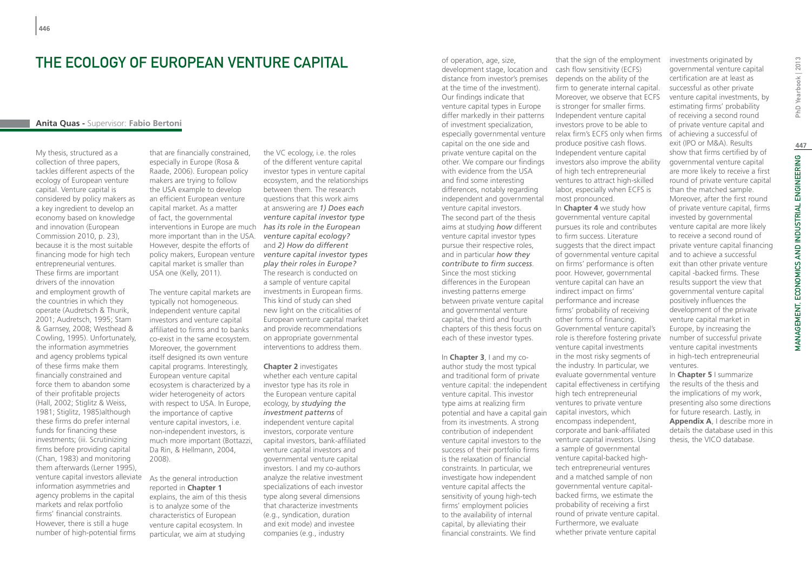## The ecology of European Venture Capital

#### **Anita Quas -** Supervisor: **Fabio Bertoni**

My thesis, structured as a collection of three papers, tackles different aspects of the ecology of European venture capital. Venture capital is considered by policy makers as a key ingredient to develop an economy based on knowledge and innovation (European Commission 2010, p. 23), because it is the most suitable financing mode for high tech entrepreneurial ventures. These firms are important drivers of the innovation and employment growth of the countries in which they operate (Audretsch & Thurik, 2001; Audretsch, 1995; Stam & Garnsey, 2008; Westhead & Cowling, 1995). Unfortunately, the information asymmetries and agency problems typical of these firms make them financially constrained and force them to abandon some of their profitable projects (Hall, 2002; Stiglitz & Weiss, 1981; Stiglitz, 1985)although these firms do prefer internal funds for financing these investments; (iii. Scrutinizing firms before providing capital (Chan, 1983) and monitoring them afterwards (Lerner 1995), venture capital investors alleviate information asymmetries and agency problems in the capital markets and relax portfolio firms' financial constraints. However, there is still a huge number of high-potential firms

that are financially constrained, especially in Europe (Rosa & Raade, 2006). European policy makers are trying to follow the USA example to develop an efficient European venture capital market. As a matter of fact, the governmental interventions in Europe are much *has its role in the European*  more important than in the USA. However, despite the efforts of policy makers, European venture capital market is smaller than USA one (Kelly, 2011).

The venture capital markets are typically not homogeneous. Independent venture capital investors and venture capital affiliated to firms and to banks co-exist in the same ecosystem. Moreover, the government itself designed its own venture capital programs. Interestingly, European venture capital ecosystem is characterized by a wider heterogeneity of actors with respect to USA. In Europe, the importance of captive venture capital investors, i.e. non-independent investors, is much more important (Bottazzi, Da Rin, & Hellmann, 2004, 2008).

As the general introduction reported in **Chapter 1** explains, the aim of this thesis is to analyze some of the characteristics of European venture capital ecosystem. In particular, we aim at studying

the VC ecology, i.e. the roles of the different venture capital investor types in venture capital ecosystem, and the relationships between them. The research questions that this work aims at answering are *1) Does each venture capital investor type venture capital ecology?* and *2) How do different venture capital investor types play their roles in Europe?* The research is conducted on a sample of venture capital investments in European firms. This kind of study can shed new light on the criticalities of European venture capital market and provide recommendations on appropriate governmental interventions to address them.

**Chapter 2** investigates whether each venture capital investor type has its role in the European venture capital ecology, by *studying the investment patterns* of independent venture capital investors, corporate venture capital investors, bank-affiliated venture capital investors and governmental venture capital investors. I and my co-authors analyze the relative investment specializations of each investor type along several dimensions that characterize investments (e.g., syndication, duration and exit mode) and investee companies (e.g., industry

of operation, age, size, development stage, location and distance from investor's premises at the time of the investment). Our findings indicate that venture capital types in Europe differ markedly in their patterns of investment specialization, especially governmental venture capital on the one side and private venture capital on the other. We compare our findings with evidence from the USA and find some interesting differences, notably regarding independent and governmental venture capital investors. The second part of the thesis aims at studying *how* different venture capital investor types pursue their respective roles, and in particular *how they contribute to firm success*. Since the most sticking differences in the European investing patterns emerge between private venture capital and governmental venture capital, the third and fourth chapters of this thesis focus on each of these investor types.

In **Chapter 3**, I and my coauthor study the most typical and traditional form of private venture capital: the independent venture capital. This investor type aims at realizing firm potential and have a capital gain from its investments. A strong contribution of independent venture capital investors to the success of their portfolio firms is the relaxation of financial constraints. In particular, we investigate how independent venture capital affects the sensitivity of young high-tech firms' employment policies to the availability of internal capital, by alleviating their financial constraints. We find

that the sign of the employment cash flow sensitivity (ECFS) depends on the ability of the firm to generate internal capital. Moreover, we observe that ECFS is stronger for smaller firms. Independent venture capital investors prove to be able to relax firm's ECFS only when firms produce positive cash flows. Independent venture capital investors also improve the ability of high tech entrepreneurial ventures to attract high-skilled labor, especially when ECFS is most pronounced.

In **Chapter 4** we study how governmental venture capital pursues its role and contributes to firm success. Literature suggests that the direct impact of governmental venture capital on firms' performance is often poor. However, governmental venture capital can have an indirect impact on firms' performance and increase firms' probability of receiving other forms of financing. Governmental venture capital's role is therefore fostering private venture capital investments in the most risky segments of the industry. In particular, we evaluate governmental venture capital effectiveness in certifying high tech entrepreneurial ventures to private venture capital investors, which encompass independent, corporate and bank-affiliated venture capital investors. Using a sample of governmental venture capital-backed hightech entrepreneurial ventures and a matched sample of non governmental venture capitalbacked firms, we estimate the probability of receiving a first round of private venture capital. Furthermore, we evaluate whether private venture capital

investments originated by governmental venture capital certification are at least as successful as other private venture capital investments, by estimating firms' probability of receiving a second round of private venture capital and of achieving a successful of exit (IPO or M&A). Results show that firms certified by of governmental venture capital are more likely to receive a first round of private venture capital than the matched sample. Moreover, after the first round of private venture capital, firms invested by governmental venture capital are more likely to receive a second round of private venture capital financing and to achieve a successful exit than other private venture capital -backed firms. These results support the view that governmental venture capital positively influences the development of the private venture capital market in Europe, by increasing the number of successful private venture capital investments in high-tech entrepreneurial ventures.

In **Chapter 5** I summarize the results of the thesis and the implications of my work, presenting also some directions for future research. Lastly, in **Appendix A**, I describe more in details the database used in this thesis, the VICO database.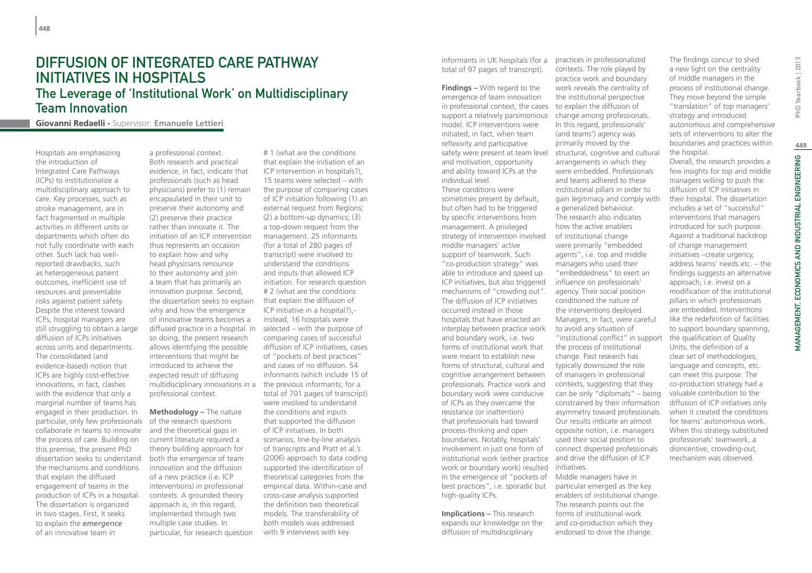## DIFFUSION OF INTEGRATED CARE PATHWAY INITIATIVES IN HOSPITALS The Leverage of 'Institutional Work' on Multidisciplinary Team Innovation

**Giovanni Redaelli -** Supervisor: **Emanuele Lettieri**

Hospitals are emphasizing the introduction of Integrated Care Pathways (ICPs) to institutionalize a multidisciplinary approach to care. Key processes, such as stroke management, are in fact fragmented in multiple activities in different units or departments which often do not fully coordinate with each other. Such lack has wellreported drawbacks, such as heterogeneous patient outcomes, inefficient use of resources and preventable risks against patient safety. Despite the interest toward ICPs, hospital managers are still struggling to obtain a large diffusion of ICPs initiatives across units and departments. The consolidated (and evidence-based) notion that ICPs are highly cost-effective innovations, in fact, clashes with the evidence that only a marginal number of teams has engaged in their production. In particular, only few professionals collaborate in teams to innovate the process of care. Building on this premise, the present PhD dissertation seeks to understand the mechanisms and conditions that explain the diffused engagement of teams in the production of ICPs in a hospital. The dissertation is organized in two stages. First, it seeks to explain the *emergence* of an innovative team in

a professional context. Both research and practical evidence, in fact, indicate that professionals (such as head physicians) prefer to (1) remain encapsulated in their unit to preserve their autonomy and (2) preserve their practice rather than innovate it. The initiation of an ICP intervention thus represents an occasion to explain how and why head physicians renounce to their autonomy and join a team that has primarily an innovation purpose. Second, the dissertation seeks to explain why and how the emergence of innovative teams becomes a diffused practice in a hospital. In so doing, the present research allows identifying the possible interventions that might be introduced to achieve the expected result of diffusing multidisciplinary innovations in a the previous informants; for a professional context.

**Methodology –** The nature of the research questions and the theoretical gaps in current literature required a theory building approach for both the emergence of team innovation and the diffusion of a new practice (i.e. ICP interventions) in professional contexts. A grounded theory approach is, in this regard, implemented through two multiple case studies. In particular, for research question

# 1 (what are the conditions that explain the initiation of an ICP intervention in hospitals?), 15 teams were selected – with the purpose of comparing cases of ICP initiation following (1) an external request from Regions; (2) a bottom-up dynamics; (3) a top-down request from the management. 25 informants (for a total of 280 pages of transcript) were involved to understand the conditions and inputs that allowed ICP initiation. For research question # 2 (what are the conditions that explain the diffusion of ICP initiative in a hospital?), instead, 16 hospitals were selected – with the purpose of comparing cases of successful diffusion of ICP initiatives, cases of "pockets of best practices" and cases of no diffusion. 54 informants (which include 15 of total of 701 pages of transcript) were involved to understand the conditions and inputs that supported the diffusion of ICP initiatives. In both scenarios, line-by-line analysis of transcripts and Pratt et al.'s (2006) approach to data coding supported the identification of theoretical categories from the empirical data. Within-case and cross-case analysis supported the definition two theoretical models. The transferability of both models was addressed with 9 interviews with key

informants in UK hospitals (for a practices in professionalized total of 97 pages of transcript).

**Findings –** With regard to the emergence of team innovation in professional context, the cases support a relatively parsimonious model. ICP interventions were initiated, in fact, when team reflexivity and participative safety were present at team level and motivation, opportunity and ability toward ICPs at the individual level. These conditions were sometimes present by default, but often had to be triggered by specific interventions from management. A privileged strategy of intervention involved middle managers' active support of teamwork. Such "co-production strategy" was able to introduce and speed up ICP initiatives, but also triggered mechanisms of "crowding out". The diffusion of ICP initiatives occurred instead in those hospitals that have enacted an interplay between practice work and boundary work, i.e. two forms of institutional work that were meant to establish new forms of structural, cultural and cognitive arrangement between professionals. Practice work and boundary work were conducive of ICPs as they overcame the resistance (or inattention) that professionals had toward process-thinking and open boundaries. Notably, hospitals' involvement in just one form of institutional work (either practice work or boundary work) resulted

in the emergence of "pockets of best practices", i.e. sporadic but high-quality ICPs. The research points out the

**Implications –** This research expands our knowledge on the diffusion of multidisciplinary

contexts. The role played by practice work and boundary work reveals the centrality of the institutional perspective to explain the diffusion of change among professionals. In this regard, professionals' (and teams') agency was primarily moved by the structural, cognitive and cultural arrangements in which they were embedded. Professionals and teams adhered to these institutional pillars in order to gain legitimacy and comply with a generalized behaviour. The research also indicates how the active enablers of institutional change were primarily "embedded agents", i.e. top and middle managers who used their "embeddedness" to exert an influence on professionals' agency. Their social position conditioned the nature of the interventions deployed. Managers, in fact, were careful to avoid any situation of "institutional conflict" in support the process of institutional change. Past research has typically downsized the role of managers in professional contexts, suggesting that they can be only "diplomats" – being constrained by their information asymmetry toward professionals. Our results indicate an almost opposite notion, i.e. managers used their social position to connect dispersed professionals and drive the diffusion of ICP initiatives. Middle managers have in particular emerged as the key enablers of institutional change.

forms of institutional work and co-production which they endorsed to drive the change.

The findings concur to shed a new light on the centrality of middle managers in the process of institutional change. They move beyond the simple "translation" of top managers' strategy and introduced autonomous and comprehensive sets of interventions to alter the boundaries and practices within the hospital.

Overall, the research provides a few insights for top and middle managers willing to push the diffusion of ICP initiatives in their hospital. The dissertation includes a set of "successful" interventions that managers introduced for such purpose. Against a traditional backdrop of change management initiatives –create urgency, address teams' needs etc. – the findings suggests an alternative approach, i.e. invest on a modification of the institutional pillars in which professionals are embedded. Interventions like the redefinition of facilities to support boundary spanning, the qualification of Quality Units, the definition of a clear set of methodologies, language and concepts, etc. can meet this purpose. The co-production strategy had a valuable contribution to the diffusion of ICP initiatives only when it created the conditions for teams' autonomous work. When this strategy substituted professionals' teamwork, a disincentive, crowding-out, mechanism was observed.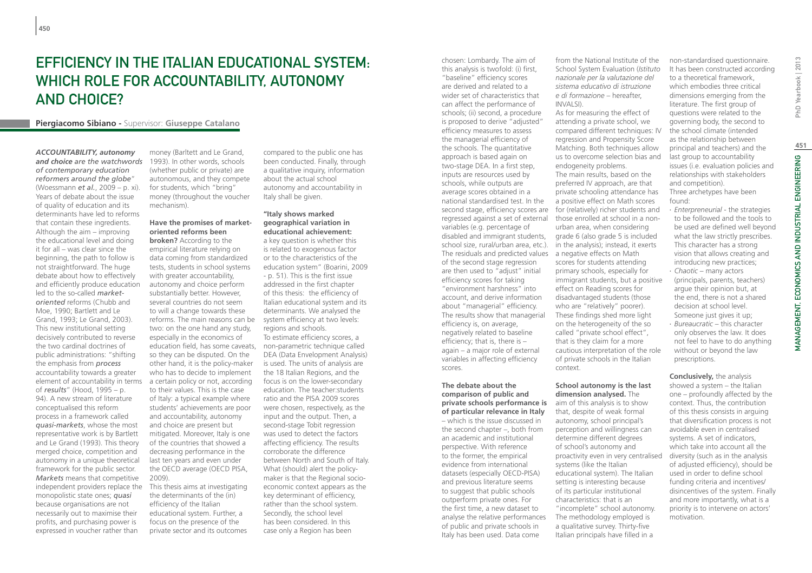# Efficiency in the Italian Educational System: which role for accountability, autonomy and choice?

#### **Piergiacomo Sibiano -** Supervisor: **Giuseppe Catalano**

*ACCOUNTABILITY, autonomy and choice are the watchwords of contemporary education reformers around the globe*" (Woessmann *et al.*, 2009 – p. xi). Years of debate about the issue of quality of education and its determinants have led to reforms that contain these ingredients. Although the aim – improving the educational level and doing it for all – was clear since the beginning, the path to follow is not straightforward. The huge debate about how to effectively and efficiently produce education led to the so-called *marketoriented* reforms (Chubb and Moe, 1990; Bartlett and Le Grand, 1993; Le Grand, 2003). This new institutional setting decisively contributed to reverse the two cardinal doctrines of public administrations: "shifting the emphasis from *process* accountability towards a greater element of accountability in terms of *results*" (Hood, 1995 – p. 94). A new stream of literature conceptualised this reform process in a framework called *quasi-markets*, whose the most representative work is by Bartlett and Le Grand (1993). This theory merged choice, competition and autonomy in a unique theoretical framework for the public sector. *Markets* means that competitive independent providers replace the monopolistic state ones; *quasi* because organisations are not necessarily out to maximise their profits, and purchasing power is expressed in voucher rather than

money (Barltett and Le Grand, 1993). In other words, schools (whether public or private) are autonomous, and they compete for students, which "bring" money (throughout the voucher mechanism).

#### **Have the promises of marketoriented reforms been**

**broken?** According to the empirical literature relying on data coming from standardized tests, students in school systems with greater accountability, autonomy and choice perform substantially better. However, several countries do not seem to will a change towards these reforms. The main reasons can be two: on the one hand any study, especially in the economics of so they can be disputed. On the other hand, it is the policy-maker who has to decide to implement a certain policy or not, according to their values. This is the case of Italy: a typical example where students' achievements are poor and accountability, autonomy and choice are present but mitigated. Moreover, Italy is one of the countries that showed a decreasing performance in the last ten years and even under the OECD average (OECD PISA, 2009). This thesis aims at investigating

the determinants of the (in) efficiency of the Italian educational system. Further, a focus on the presence of the private sector and its outcomes

compared to the public one has been conducted. Finally, through a qualitative inquiry, information about the actual school autonomy and accountability in Italy shall be given.

education field, has some caveats, non-parametric technique called **"Italy shows marked geographical variation in educational achievement:** a key question is whether this is related to exogenous factor or to the characteristics of the education system" (Boarini, 2009 - p. 51). This is the first issue addressed in the first chapter of this thesis: the efficiency of Italian educational system and its determinants. We analysed the system efficiency at two levels: regions and schools. To estimate efficiency scores, a DEA (Data Envelopment Analysis)

is used. The units of analysis are the 18 Italian Regions, and the focus is on the lower-secondary education. The teacher:students ratio and the PISA 2009 scores were chosen, respectively, as the input and the output. Then, a second-stage Tobit regression was used to detect the factors affecting efficiency. The results corroborate the difference between North and South of Italy. What (should) alert the policymaker is that the Regional socioeconomic context appears as the key determinant of efficiency, rather than the school system. Secondly, the school level has been considered. In this case only a Region has been

chosen: Lombardy. The aim of this analysis is twofold: (i) first, "baseline" efficiency scores are derived and related to a wider set of characteristics that can affect the performance of schools; (ii) second, a procedure is proposed to derive "adjusted" efficiency measures to assess the managerial efficiency of the schools. The quantitative approach is based again on two-stage DEA. In a first step, inputs are resources used by schools, while outputs are average scores obtained in a national standardised test. In the variables (e.g. percentage of disabled and immigrant students, school size, rural/urban area, etc.). The residuals and predicted values a negative effects on Math of the second stage regression are then used to "adjust" initial efficiency scores for taking "environment harshness" into account, and derive information about "managerial" efficiency. The results show that managerial efficiency is, on average, negatively related to baseline efficiency; that is, there is – again – a major role of external variables in affecting efficiency scores.

#### **The debate about the comparison of public and private schools performance is of particular relevance in Italy** – which is the issue discussed in the second chapter –, both from an academic and institutional perspective. With reference to the former, the empirical evidence from international datasets (especially OECD-PISA) and previous literature seems to suggest that public schools outperform private ones. For the first time, a new dataset to analyse the relative performances

of public and private schools in Italy has been used. Data come

from the National Institute of the School System Evaluation (*Istituto nazionale per la valutazione del sistema educativo di istruzione e di formazione* – hereafter, INVALSI).

second stage, efficiency scores are for (relatively) richer students and regressed against a set of external those enrolled at school in a non-As for measuring the effect of attending a private school, we compared different techniques: IV regression and Propensity Score Matching. Both techniques allow us to overcome selection bias and endogeneity problems. The main results, based on the preferred IV approach, are that private schooling attendance has a positive effect on Math scores urban area, when considering grade 6 (also grade 5 is included in the analysis); instead, it exerts scores for students attending primary schools, especially for immigrant students, but a positive effect on Reading scores for disadvantaged students (those who are "relatively" poorer). These findings shed more light on the heterogeneity of the so called "private school effect", that is they claim for a more cautious interpretation of the role of private schools in the Italian context.

#### **School autonomy is the last dimension analysed.** The aim of this analysis is to show

that, despite of weak formal autonomy, school principal's perception and willingness can determine different degrees of school's autonomy and proactivity even in very centralised systems (like the Italian educational system). The Italian setting is interesting because of its particular institutional characteristics: that is an "incomplete" school autonomy. The methodology employed is a qualitative survey. Thirty-five Italian principals have filled in a

non-standardised questionnaire. It has been constructed according to a theoretical framework, which embodies three critical dimensions emerging from the literature. The first group of questions were related to the governing body, the second to the school climate (intended as the relationship between principal and teachers) and the last group to accountability issues (i.e. evaluation policies and relationships with stakeholders and competition). Three archetypes have been found:

- ∙ *Enterpreneurial* the strategies to be followed and the tools to be used are defined well beyond what the law strictly prescribes. This character has a strong vision that allows creating and introducing new practices; ∙ *Chaotic* – many actors
- (principals, parents, teachers) argue their opinion but, at the end, there is not a shared decision at school level. Someone just gives it up; ∙ *Bureaucratic* – this character only observes the law. It does not feel to have to do anything without or beyond the law prescriptions.

**Conclusively,** the analysis showed a system – the Italian one – profoundly affected by the context. Thus, the contribution of this thesis consists in arguing that diversification process is not avoidable even in centralised systems. A set of indicators, which take into account all the diversity (such as in the analysis of adjusted efficiency), should be used in order to define school funding criteria and incentives/ disincentives of the system. Finally and more importantly, what is a priority is to intervene on actors' motivation.